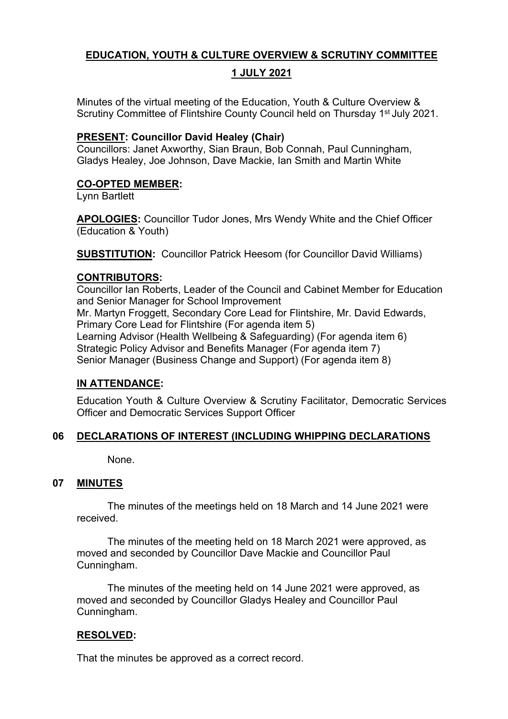# **EDUCATION, YOUTH & CULTURE OVERVIEW & SCRUTINY COMMITTEE**

## **1 JULY 2021**

Minutes of the virtual meeting of the Education, Youth & Culture Overview & Scrutiny Committee of Flintshire County Council held on Thursday 1<sup>st</sup> July 2021.

## **PRESENT: Councillor David Healey (Chair)**

Councillors: Janet Axworthy, Sian Braun, Bob Connah, Paul Cunningham, Gladys Healey, Joe Johnson, Dave Mackie, Ian Smith and Martin White

## **CO-OPTED MEMBER:**

Lynn Bartlett

**APOLOGIES:** Councillor Tudor Jones, Mrs Wendy White and the Chief Officer (Education & Youth)

**SUBSTITUTION:** Councillor Patrick Heesom (for Councillor David Williams)

### **CONTRIBUTORS:**

Councillor Ian Roberts, Leader of the Council and Cabinet Member for Education and Senior Manager for School Improvement Mr. Martyn Froggett, Secondary Core Lead for Flintshire, Mr. David Edwards, Primary Core Lead for Flintshire (For agenda item 5) Learning Advisor (Health Wellbeing & Safeguarding) (For agenda item 6) Strategic Policy Advisor and Benefits Manager (For agenda item 7) Senior Manager (Business Change and Support) (For agenda item 8)

# **IN ATTENDANCE:**

Education Youth & Culture Overview & Scrutiny Facilitator, Democratic Services Officer and Democratic Services Support Officer

# **06 DECLARATIONS OF INTEREST (INCLUDING WHIPPING DECLARATIONS**

None.

### **07 MINUTES**

The minutes of the meetings held on 18 March and 14 June 2021 were received.

The minutes of the meeting held on 18 March 2021 were approved, as moved and seconded by Councillor Dave Mackie and Councillor Paul Cunningham.

The minutes of the meeting held on 14 June 2021 were approved, as moved and seconded by Councillor Gladys Healey and Councillor Paul Cunningham.

# **RESOLVED:**

That the minutes be approved as a correct record.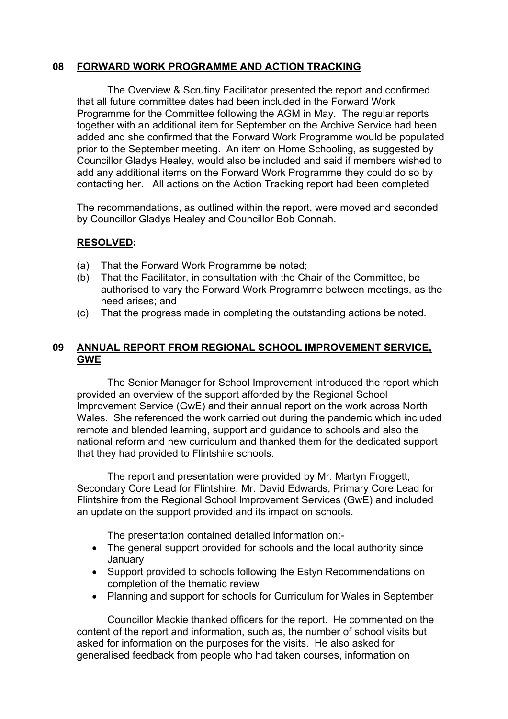## **08 FORWARD WORK PROGRAMME AND ACTION TRACKING**

The Overview & Scrutiny Facilitator presented the report and confirmed that all future committee dates had been included in the Forward Work Programme for the Committee following the AGM in May. The regular reports together with an additional item for September on the Archive Service had been added and she confirmed that the Forward Work Programme would be populated prior to the September meeting. An item on Home Schooling, as suggested by Councillor Gladys Healey, would also be included and said if members wished to add any additional items on the Forward Work Programme they could do so by contacting her. All actions on the Action Tracking report had been completed

The recommendations, as outlined within the report, were moved and seconded by Councillor Gladys Healey and Councillor Bob Connah.

## **RESOLVED:**

- (a) That the Forward Work Programme be noted;
- (b) That the Facilitator, in consultation with the Chair of the Committee, be authorised to vary the Forward Work Programme between meetings, as the need arises; and
- (c) That the progress made in completing the outstanding actions be noted.

# **09 ANNUAL REPORT FROM REGIONAL SCHOOL IMPROVEMENT SERVICE, GWE**

The Senior Manager for School Improvement introduced the report which provided an overview of the support afforded by the Regional School Improvement Service (GwE) and their annual report on the work across North Wales. She referenced the work carried out during the pandemic which included remote and blended learning, support and guidance to schools and also the national reform and new curriculum and thanked them for the dedicated support that they had provided to Flintshire schools.

The report and presentation were provided by Mr. Martyn Froggett, Secondary Core Lead for Flintshire, Mr. David Edwards, Primary Core Lead for Flintshire from the Regional School Improvement Services (GwE) and included an update on the support provided and its impact on schools.

The presentation contained detailed information on:-

- The general support provided for schools and the local authority since January
- Support provided to schools following the Estyn Recommendations on completion of the thematic review
- Planning and support for schools for Curriculum for Wales in September

Councillor Mackie thanked officers for the report. He commented on the content of the report and information, such as, the number of school visits but asked for information on the purposes for the visits. He also asked for generalised feedback from people who had taken courses, information on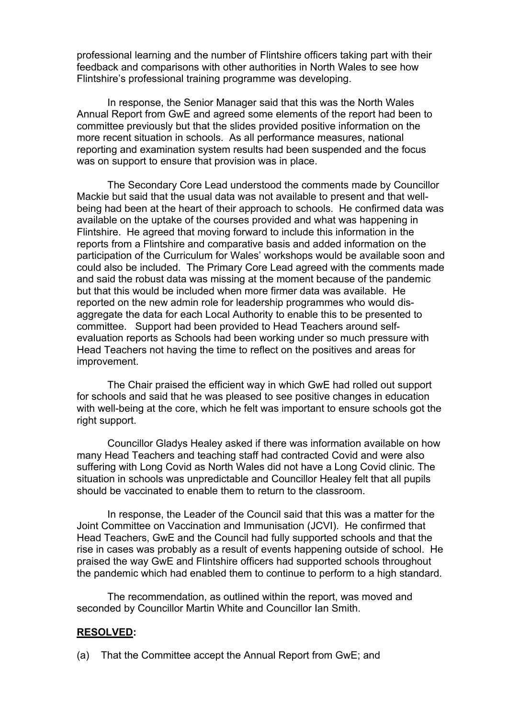professional learning and the number of Flintshire officers taking part with their feedback and comparisons with other authorities in North Wales to see how Flintshire's professional training programme was developing.

In response, the Senior Manager said that this was the North Wales Annual Report from GwE and agreed some elements of the report had been to committee previously but that the slides provided positive information on the more recent situation in schools. As all performance measures, national reporting and examination system results had been suspended and the focus was on support to ensure that provision was in place.

The Secondary Core Lead understood the comments made by Councillor Mackie but said that the usual data was not available to present and that wellbeing had been at the heart of their approach to schools. He confirmed data was available on the uptake of the courses provided and what was happening in Flintshire. He agreed that moving forward to include this information in the reports from a Flintshire and comparative basis and added information on the participation of the Curriculum for Wales' workshops would be available soon and could also be included. The Primary Core Lead agreed with the comments made and said the robust data was missing at the moment because of the pandemic but that this would be included when more firmer data was available. He reported on the new admin role for leadership programmes who would disaggregate the data for each Local Authority to enable this to be presented to committee. Support had been provided to Head Teachers around selfevaluation reports as Schools had been working under so much pressure with Head Teachers not having the time to reflect on the positives and areas for improvement.

The Chair praised the efficient way in which GwE had rolled out support for schools and said that he was pleased to see positive changes in education with well-being at the core, which he felt was important to ensure schools got the right support.

Councillor Gladys Healey asked if there was information available on how many Head Teachers and teaching staff had contracted Covid and were also suffering with Long Covid as North Wales did not have a Long Covid clinic. The situation in schools was unpredictable and Councillor Healey felt that all pupils should be vaccinated to enable them to return to the classroom.

In response, the Leader of the Council said that this was a matter for the Joint Committee on Vaccination and Immunisation (JCVI). He confirmed that Head Teachers, GwE and the Council had fully supported schools and that the rise in cases was probably as a result of events happening outside of school. He praised the way GwE and Flintshire officers had supported schools throughout the pandemic which had enabled them to continue to perform to a high standard.

The recommendation, as outlined within the report, was moved and seconded by Councillor Martin White and Councillor Ian Smith.

#### **RESOLVED:**

(a) That the Committee accept the Annual Report from GwE; and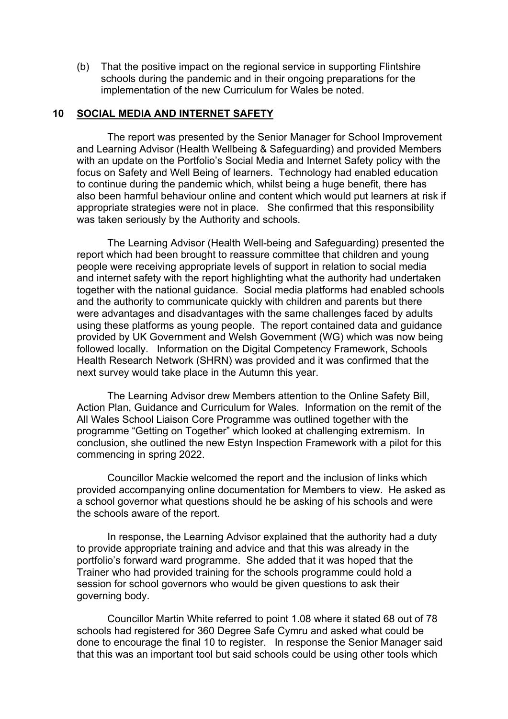(b) That the positive impact on the regional service in supporting Flintshire schools during the pandemic and in their ongoing preparations for the implementation of the new Curriculum for Wales be noted.

#### **10 SOCIAL MEDIA AND INTERNET SAFETY**

The report was presented by the Senior Manager for School Improvement and Learning Advisor (Health Wellbeing & Safeguarding) and provided Members with an update on the Portfolio's Social Media and Internet Safety policy with the focus on Safety and Well Being of learners. Technology had enabled education to continue during the pandemic which, whilst being a huge benefit, there has also been harmful behaviour online and content which would put learners at risk if appropriate strategies were not in place. She confirmed that this responsibility was taken seriously by the Authority and schools.

The Learning Advisor (Health Well-being and Safeguarding) presented the report which had been brought to reassure committee that children and young people were receiving appropriate levels of support in relation to social media and internet safety with the report highlighting what the authority had undertaken together with the national guidance. Social media platforms had enabled schools and the authority to communicate quickly with children and parents but there were advantages and disadvantages with the same challenges faced by adults using these platforms as young people. The report contained data and guidance provided by UK Government and Welsh Government (WG) which was now being followed locally. Information on the Digital Competency Framework, Schools Health Research Network (SHRN) was provided and it was confirmed that the next survey would take place in the Autumn this year.

The Learning Advisor drew Members attention to the Online Safety Bill, Action Plan, Guidance and Curriculum for Wales. Information on the remit of the All Wales School Liaison Core Programme was outlined together with the programme "Getting on Together" which looked at challenging extremism. In conclusion, she outlined the new Estyn Inspection Framework with a pilot for this commencing in spring 2022.

Councillor Mackie welcomed the report and the inclusion of links which provided accompanying online documentation for Members to view. He asked as a school governor what questions should he be asking of his schools and were the schools aware of the report.

In response, the Learning Advisor explained that the authority had a duty to provide appropriate training and advice and that this was already in the portfolio's forward ward programme. She added that it was hoped that the Trainer who had provided training for the schools programme could hold a session for school governors who would be given questions to ask their governing body.

Councillor Martin White referred to point 1.08 where it stated 68 out of 78 schools had registered for 360 Degree Safe Cymru and asked what could be done to encourage the final 10 to register. In response the Senior Manager said that this was an important tool but said schools could be using other tools which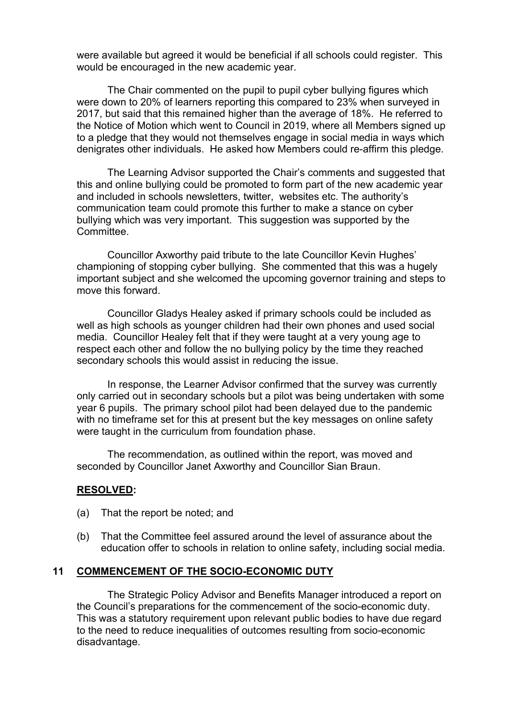were available but agreed it would be beneficial if all schools could register. This would be encouraged in the new academic year.

The Chair commented on the pupil to pupil cyber bullying figures which were down to 20% of learners reporting this compared to 23% when surveyed in 2017, but said that this remained higher than the average of 18%. He referred to the Notice of Motion which went to Council in 2019, where all Members signed up to a pledge that they would not themselves engage in social media in ways which denigrates other individuals. He asked how Members could re-affirm this pledge.

The Learning Advisor supported the Chair's comments and suggested that this and online bullying could be promoted to form part of the new academic year and included in schools newsletters, twitter, websites etc. The authority's communication team could promote this further to make a stance on cyber bullying which was very important. This suggestion was supported by the **Committee.** 

Councillor Axworthy paid tribute to the late Councillor Kevin Hughes' championing of stopping cyber bullying. She commented that this was a hugely important subject and she welcomed the upcoming governor training and steps to move this forward.

Councillor Gladys Healey asked if primary schools could be included as well as high schools as younger children had their own phones and used social media. Councillor Healey felt that if they were taught at a very young age to respect each other and follow the no bullying policy by the time they reached secondary schools this would assist in reducing the issue.

In response, the Learner Advisor confirmed that the survey was currently only carried out in secondary schools but a pilot was being undertaken with some year 6 pupils. The primary school pilot had been delayed due to the pandemic with no timeframe set for this at present but the key messages on online safety were taught in the curriculum from foundation phase.

The recommendation, as outlined within the report, was moved and seconded by Councillor Janet Axworthy and Councillor Sian Braun.

#### **RESOLVED:**

- (a) That the report be noted; and
- (b) That the Committee feel assured around the level of assurance about the education offer to schools in relation to online safety, including social media.

#### **11 COMMENCEMENT OF THE SOCIO-ECONOMIC DUTY**

The Strategic Policy Advisor and Benefits Manager introduced a report on the Council's preparations for the commencement of the socio-economic duty. This was a statutory requirement upon relevant public bodies to have due regard to the need to reduce inequalities of outcomes resulting from socio-economic disadvantage.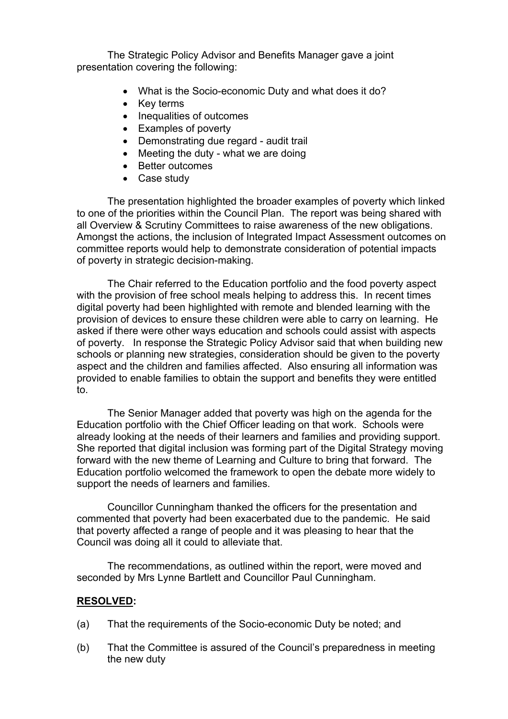The Strategic Policy Advisor and Benefits Manager gave a joint presentation covering the following:

- What is the Socio-economic Duty and what does it do?
- Key terms
- Inequalities of outcomes
- Examples of poverty
- Demonstrating due regard audit trail
- Meeting the duty what we are doing
- Better outcomes
- Case study

The presentation highlighted the broader examples of poverty which linked to one of the priorities within the Council Plan. The report was being shared with all Overview & Scrutiny Committees to raise awareness of the new obligations. Amongst the actions, the inclusion of Integrated Impact Assessment outcomes on committee reports would help to demonstrate consideration of potential impacts of poverty in strategic decision-making.

The Chair referred to the Education portfolio and the food poverty aspect with the provision of free school meals helping to address this. In recent times digital poverty had been highlighted with remote and blended learning with the provision of devices to ensure these children were able to carry on learning. He asked if there were other ways education and schools could assist with aspects of poverty. In response the Strategic Policy Advisor said that when building new schools or planning new strategies, consideration should be given to the poverty aspect and the children and families affected. Also ensuring all information was provided to enable families to obtain the support and benefits they were entitled to.

The Senior Manager added that poverty was high on the agenda for the Education portfolio with the Chief Officer leading on that work. Schools were already looking at the needs of their learners and families and providing support. She reported that digital inclusion was forming part of the Digital Strategy moving forward with the new theme of Learning and Culture to bring that forward. The Education portfolio welcomed the framework to open the debate more widely to support the needs of learners and families.

Councillor Cunningham thanked the officers for the presentation and commented that poverty had been exacerbated due to the pandemic. He said that poverty affected a range of people and it was pleasing to hear that the Council was doing all it could to alleviate that.

The recommendations, as outlined within the report, were moved and seconded by Mrs Lynne Bartlett and Councillor Paul Cunningham.

#### **RESOLVED:**

- (a) That the requirements of the Socio-economic Duty be noted; and
- (b) That the Committee is assured of the Council's preparedness in meeting the new duty